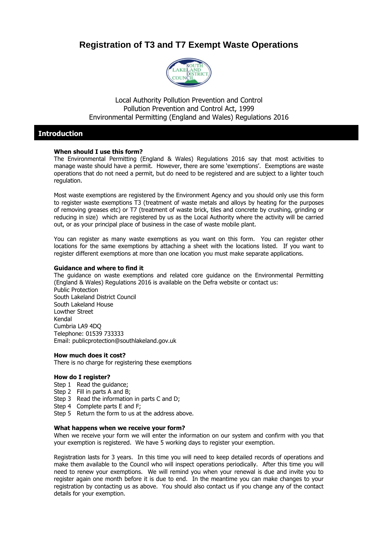# **Registration of T3 and T7 Exempt Waste Operations**



Local Authority Pollution Prevention and Control Pollution Prevention and Control Act, 1999 Environmental Permitting (England and Wales) Regulations 2016

#### **Introduction**

#### **When should I use this form?**

The Environmental Permitting (England & Wales) Regulations 2016 say that most activities to manage waste should have a permit. However, there are some 'exemptions'. Exemptions are waste operations that do not need a permit, but do need to be registered and are subject to a lighter touch regulation.

Most waste exemptions are registered by the Environment Agency and you should only use this form to register waste exemptions T3 (treatment of waste metals and alloys by heating for the purposes of removing greases etc) or T7 (treatment of waste brick, tiles and concrete by crushing, grinding or reducing in size) which are registered by us as the Local Authority where the activity will be carried out, or as your principal place of business in the case of waste mobile plant.

You can register as many waste exemptions as you want on this form. You can register other locations for the same exemptions by attaching a sheet with the locations listed. If you want to register different exemptions at more than one location you must make separate applications.

#### **Guidance and where to find it**

The guidance on waste exemptions and related core guidance on the Environmental Permitting (England & Wales) Regulations 2016 is available on the Defra website or contact us: Public Protection South Lakeland District Council South Lakeland House Lowther Street Kendal Cumbria LA9 4DQ Telephone: 01539 733333 Email: publicprotection@southlakeland.gov.uk

#### **How much does it cost?**

There is no charge for registering these exemptions

#### **How do I register?**

Step 1 Read the guidance;

- Step 2 Fill in parts A and B;
- Step 3 Read the information in parts C and D;
- Step 4 Complete parts E and F;
- Step 5 Return the form to us at the address above.

#### **What happens when we receive your form?**

When we receive your form we will enter the information on our system and confirm with you that your exemption is registered. We have 5 working days to register your exemption.

Registration lasts for 3 years. In this time you will need to keep detailed records of operations and make them available to the Council who will inspect operations periodically. After this time you will need to renew your exemptions. We will remind you when your renewal is due and invite you to register again one month before it is due to end. In the meantime you can make changes to your registration by contacting us as above. You should also contact us if you change any of the contact details for your exemption.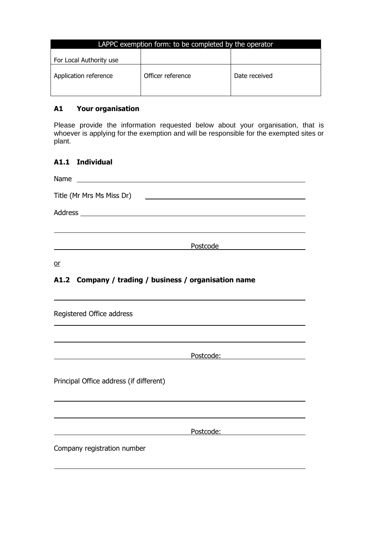| LAPPC exemption form: to be completed by the operator |                   |               |  |  |
|-------------------------------------------------------|-------------------|---------------|--|--|
| For Local Authority use                               |                   |               |  |  |
| Application reference                                 | Officer reference | Date received |  |  |

### **A1 Your organisation**

Please provide the information requested below about your organisation, that is whoever is applying for the exemption and will be responsible for the exempted sites or plant.

### **A1.1 Individual**

| <u> 1989 - Andrea Albert III, politik a postal de la provincia de la provincia de la provincia de la provincia d</u> |
|----------------------------------------------------------------------------------------------------------------------|
|                                                                                                                      |
|                                                                                                                      |
| Postcode                                                                                                             |
|                                                                                                                      |

or

## **A1.2 Company / trading / business / organisation name**

| Registered Office address               |           |  |
|-----------------------------------------|-----------|--|
|                                         |           |  |
|                                         | Postcode: |  |
| Principal Office address (if different) |           |  |
|                                         |           |  |
|                                         | Postcode: |  |
| Company registration number             |           |  |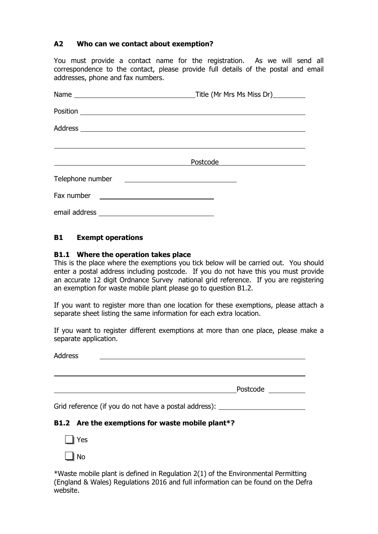### **A2 Who can we contact about exemption?**

You must provide a contact name for the registration. As we will send all correspondence to the contact, please provide full details of the postal and email addresses, phone and fax numbers.

|                  | Title (Mr Mrs Ms Miss Dr)_________                                                                                          |
|------------------|-----------------------------------------------------------------------------------------------------------------------------|
|                  |                                                                                                                             |
|                  |                                                                                                                             |
|                  |                                                                                                                             |
|                  | $Postcode \_\_\_\_\_\_\_\_\_$                                                                                               |
| Telephone number | <u> 1989 - Andrea Station Barbara, amerikan personal personal personal personal personal personal personal personal per</u> |
| Fax number       |                                                                                                                             |
|                  |                                                                                                                             |

### **B1 Exempt operations**

#### **B1.1 Where the operation takes place**

This is the place where the exemptions you tick below will be carried out. You should enter a postal address including postcode. If you do not have this you must provide an accurate 12 digit Ordnance Survey national grid reference. If you are registering an exemption for waste mobile plant please go to question B1.2.

If you want to register more than one location for these exemptions, please attach a separate sheet listing the same information for each extra location.

If you want to register different exemptions at more than one place, please make a separate application.

Address

Postcode <u>de la provincia de la provincia de la pro</u>

Grid reference (if you do not have a postal address):

### **B1.2 Are the exemptions for waste mobile plant\*?**

Yes

ll No

\*Waste mobile plant is defined in Regulation 2(1) of the Environmental Permitting (England & Wales) Regulations 2016 and full information can be found on the Defra website.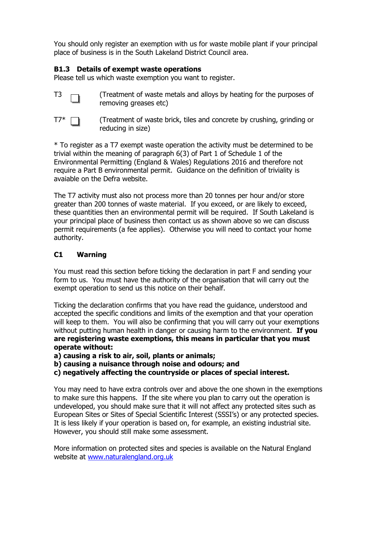You should only register an exemption with us for waste mobile plant if your principal place of business is in the South Lakeland District Council area.

### **B1.3 Details of exempt waste operations**

Please tell us which waste exemption you want to register.

- $T3 \quad \rightarrow \quad$  (Treatment of waste metals and alloys by heating for the purposes of removing greases etc)
- $T7^*$   $\Box$  (Treatment of waste brick, tiles and concrete by crushing, grinding or reducing in size)

\* To register as a T7 exempt waste operation the activity must be determined to be trivial within the meaning of paragraph 6(3) of Part 1 of Schedule 1 of the Environmental Permitting (England & Wales) Regulations 2016 and therefore not require a Part B environmental permit. Guidance on the definition of triviality is avaiable on the Defra website.

The T7 activity must also not process more than 20 tonnes per hour and/or store greater than 200 tonnes of waste material. If you exceed, or are likely to exceed, these quantities then an environmental permit will be required. If South Lakeland is your principal place of business then contact us as shown above so we can discuss permit requirements (a fee applies). Otherwise you will need to contact your home authority.

### **C1 Warning**

You must read this section before ticking the declaration in part F and sending your form to us. You must have the authority of the organisation that will carry out the exempt operation to send us this notice on their behalf.

Ticking the declaration confirms that you have read the guidance, understood and accepted the specific conditions and limits of the exemption and that your operation will keep to them. You will also be confirming that you will carry out your exemptions without putting human health in danger or causing harm to the environment. **If you are registering waste exemptions, this means in particular that you must operate without:**

**a) causing a risk to air, soil, plants or animals;**

- **b) causing a nuisance through noise and odours; and**
- **c) negatively affecting the countryside or places of special interest.**

You may need to have extra controls over and above the one shown in the exemptions to make sure this happens. If the site where you plan to carry out the operation is undeveloped, you should make sure that it will not affect any protected sites such as European Sites or Sites of Special Scientific Interest (SSSI's) or any protected species. It is less likely if your operation is based on, for example, an existing industrial site. However, you should still make some assessment.

More information on protected sites and species is available on the Natural England website at [www.naturalengland.org.uk](http://www.naturalengland.org.uk/)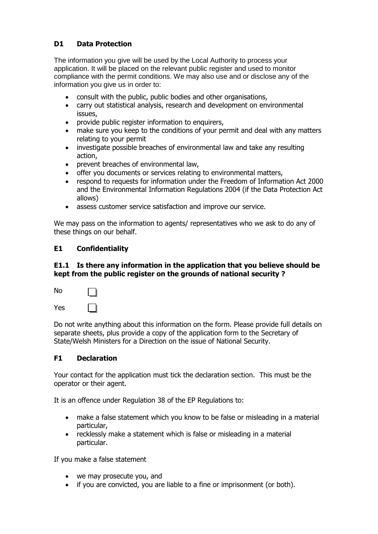## **D1 Data Protection**

The information you give will be used by the Local Authority to process your application. It will be placed on the relevant public register and used to monitor compliance with the permit conditions. We may also use and or disclose any of the information you give us in order to:

- consult with the public, public bodies and other organisations,
- carry out statistical analysis, research and development on environmental issues,
- provide public register information to enquirers,
- make sure you keep to the conditions of your permit and deal with any matters relating to your permit
- investigate possible breaches of environmental law and take any resulting action,
- prevent breaches of environmental law,
- offer you documents or services relating to environmental matters,
- respond to requests for information under the Freedom of Information Act 2000 and the Environmental Information Regulations 2004 (if the Data Protection Act allows)
- assess customer service satisfaction and improve our service.

We may pass on the information to agents/ representatives who we ask to do any of these things on our behalf.

### **E1 Confidentiality**

#### **E1.1 Is there any information in the application that you believe should be kept from the public register on the grounds of national security ?**

| No  |  |
|-----|--|
| Yes |  |

Do not write anything about this information on the form. Please provide full details on separate sheets, plus provide a copy of the application form to the Secretary of State/Welsh Ministers for a Direction on the issue of National Security.

### **F1 Declaration**

Your contact for the application must tick the declaration section. This must be the operator or their agent.

It is an offence under Regulation 38 of the EP Regulations to:

- make a false statement which you know to be false or misleading in a material particular,
- recklessly make a statement which is false or misleading in a material particular.

If you make a false statement

- we may prosecute you, and
- if you are convicted, you are liable to a fine or imprisonment (or both).